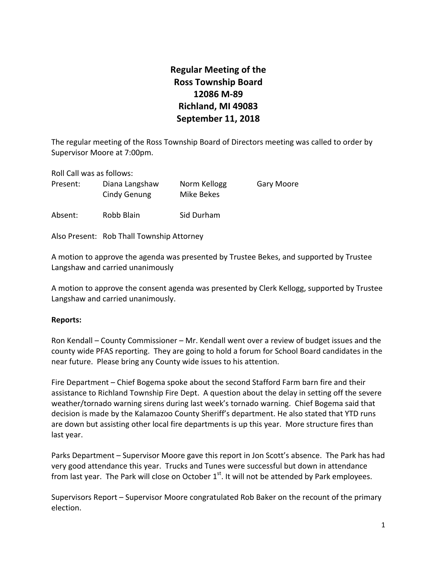# **Regular Meeting of the Ross Township Board 12086 M‐89 Richland, MI 49083 September 11, 2018**

The regular meeting of the Ross Township Board of Directors meeting was called to order by Supervisor Moore at 7:00pm.

Roll Call was as follows:

| Present: | Diana Langshaw<br>Cindy Genung | Norm Kellogg<br>Mike Bekes | Gary Moore |
|----------|--------------------------------|----------------------------|------------|
|          |                                |                            |            |

Absent: Robb Blain Sid Durham

Also Present: Rob Thall Township Attorney

A motion to approve the agenda was presented by Trustee Bekes, and supported by Trustee Langshaw and carried unanimously

A motion to approve the consent agenda was presented by Clerk Kellogg, supported by Trustee Langshaw and carried unanimously.

### **Reports:**

Ron Kendall – County Commissioner – Mr. Kendall went over a review of budget issues and the county wide PFAS reporting. They are going to hold a forum for School Board candidates in the near future. Please bring any County wide issues to his attention.

Fire Department – Chief Bogema spoke about the second Stafford Farm barn fire and their assistance to Richland Township Fire Dept. A question about the delay in setting off the severe weather/tornado warning sirens during last week's tornado warning. Chief Bogema said that decision is made by the Kalamazoo County Sheriff's department. He also stated that YTD runs are down but assisting other local fire departments is up this year. More structure fires than last year.

Parks Department – Supervisor Moore gave this report in Jon Scott's absence. The Park has had very good attendance this year. Trucks and Tunes were successful but down in attendance from last year. The Park will close on October  $1<sup>st</sup>$ . It will not be attended by Park employees.

Supervisors Report – Supervisor Moore congratulated Rob Baker on the recount of the primary election.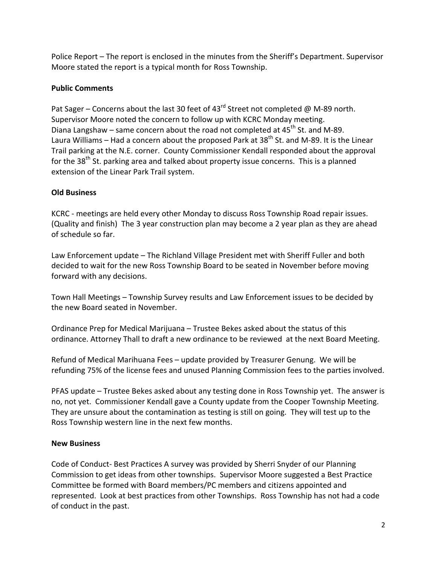Police Report – The report is enclosed in the minutes from the Sheriff's Department. Supervisor Moore stated the report is a typical month for Ross Township.

## **Public Comments**

Pat Sager – Concerns about the last 30 feet of  $43^{\text{rd}}$  Street not completed @ M-89 north. Supervisor Moore noted the concern to follow up with KCRC Monday meeting. Diana Langshaw – same concern about the road not completed at  $45<sup>th</sup>$  St. and M-89. Laura Williams – Had a concern about the proposed Park at  $38<sup>th</sup>$  St. and M-89. It is the Linear Trail parking at the N.E. corner. County Commissioner Kendall responded about the approval for the  $38<sup>th</sup>$  St. parking area and talked about property issue concerns. This is a planned extension of the Linear Park Trail system.

## **Old Business**

KCRC ‐ meetings are held every other Monday to discuss Ross Township Road repair issues. (Quality and finish) The 3 year construction plan may become a 2 year plan as they are ahead of schedule so far.

Law Enforcement update – The Richland Village President met with Sheriff Fuller and both decided to wait for the new Ross Township Board to be seated in November before moving forward with any decisions.

Town Hall Meetings – Township Survey results and Law Enforcement issues to be decided by the new Board seated in November.

Ordinance Prep for Medical Marijuana – Trustee Bekes asked about the status of this ordinance. Attorney Thall to draft a new ordinance to be reviewed at the next Board Meeting.

Refund of Medical Marihuana Fees – update provided by Treasurer Genung. We will be refunding 75% of the license fees and unused Planning Commission fees to the parties involved.

PFAS update – Trustee Bekes asked about any testing done in Ross Township yet. The answer is no, not yet. Commissioner Kendall gave a County update from the Cooper Township Meeting. They are unsure about the contamination as testing is still on going. They will test up to the Ross Township western line in the next few months.

## **New Business**

Code of Conduct‐ Best Practices A survey was provided by Sherri Snyder of our Planning Commission to get ideas from other townships. Supervisor Moore suggested a Best Practice Committee be formed with Board members/PC members and citizens appointed and represented. Look at best practices from other Townships. Ross Township has not had a code of conduct in the past.